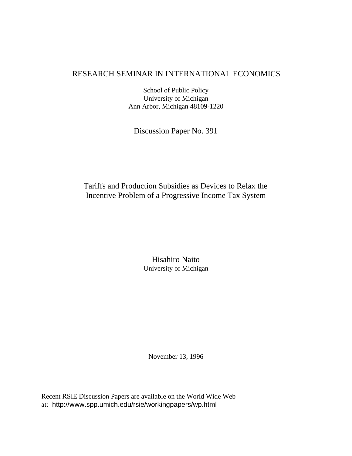#### RESEARCH SEMINAR IN INTERNATIONAL ECONOMICS

School of Public Policy University of Michigan Ann Arbor, Michigan 48109-1220

Discussion Paper No. 391

## Tariffs and Production Subsidies as Devices to Relax the Incentive Problem of a Progressive Income Tax System

Hisahiro Naito University of Michigan

November 13, 1996

Recent RSIE Discussion Papers are available on the World Wide Web at: http://www.spp.umich.edu/rsie/workingpapers/wp.html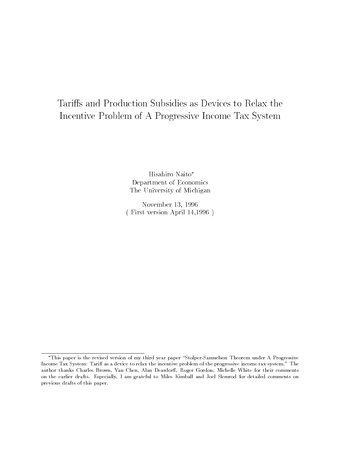# Tariffs and Production Subsidies as Devices to Relax the Incentive Problem of A Progressive Income Tax System

Hisahiro Naito Department of Economics The University of Michigan

November 13, 1996 ( First version April 14,1996 )

<sup>\*</sup>This paper is the revised version of my third year paper "Stolper-Samuelson Theorem under A Progressive Income Tax System: Tariff as a device to relax the incentive problem of the progressive income tax system." The author thanks Charles Brown, Yan Chen, Alan Deardorff, Roger Gordon, Michelle White for their comments on the earlier drafts. Especially, I am grateful to Miles Kimball and Joel Slemrod for detailed comments on previous drafts of this paper.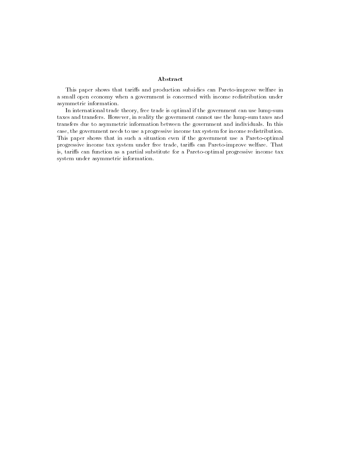#### Abstract

This paper shows that tariffs and production subsidies can Pareto-improve welfare in a small open economy when a government is concerned with income redistribution underasymmetric information.

In international trade theory, free trade is optimal if the government can use lump-sumtaxes and transfers. However, in reality the government cannot use the lump-sum taxes andtransfers due to asymmetric information between the government and individuals. In thiscase, the government needs to use a progressive income tax system for income redistribution.This paper shows that in such a situation even if the government use a Pareto-optimalprogressive income tax system under free trade, tariffs can Pareto-improve welfare. That is, tariffs can function as a partial substitute for a Pareto-optimal progressive income tax system under asymmetric information.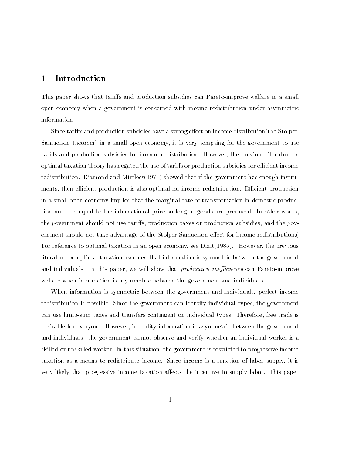#### 1 Introduction

This paper shows that tariffs and production subsidies can Pareto-improve welfare in a small open economy when a government is concerned with income redistribution under asymmetric information.

Since tariffs and production subsidies have a strong effect on income distribution(the Stolper-Samuelson theorem) in a small open economy, it is very tempting for the government to use tariffs and production subsidies for income redistribution. However, the previous literature of optimal taxation theory has negated the use of tariffs or production subsidies for efficient income redistribution. Diamond and Mirrlees(1971) showed that if the government has enough instruments, then efficient production is also optimal for income redistribution. Efficient production in a small open economy implies that the marginal rate of transformation in domestic production must be equal to the international price so long as goods are produced. In other words, the government should not use tariffs, production taxes or production subsidies, and the government should not take advantage of the Stolper-Samuelson effect for income redistribution. For reference to optimal taxation in an open economy, see Dixit(1985).) However, the previous literature on optimal taxation assumed that information is symmetric between the government and individuals. In this paper, we will show that *production inefficiency* can Pareto-improve welfare when information is asymmetric between the government and individuals.

When information is symmetric between the government and individuals, perfect income redistribution is possible. Since the government can identify individual types, the government can use lump-sum taxes and transfers contingent on individual types. Therefore, free trade is desirable for everyone. However, in reality information is asymmetric between the government and individuals: the government cannot observe and verify whether an individual worker is a skilled or unskilled worker. In this situation, the government is restricted to progressive income taxation as a means to redistribute income. Since income is a function of labor supply, it is very likely that progressive income taxation affects the incentive to supply labor. This paper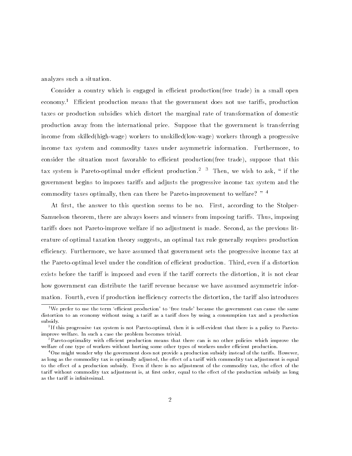analyzes such a situation.

Consider a country which is engaged in efficient production(free trade) in a small open economy.<sup>1</sup> Efficient production means that the government does not use tariffs, production taxes or production subsidies which distort the marginal rate of transformation of domestic production away from the international price. Suppose that the government is transferring income from skilled(high-wage) workers to unskilled(low-wage) workers through a progressive income tax system and commodity taxes under asymmetric information. Furthermore, to consider the situation most favorable to efficient production(free trade), suppose that this tax system is Pareto-optimal under efficient production.<sup>2</sup>  $3$  Then, we wish to ask, " if the government begins to imposes tariffs and adjusts the progressive income tax system and the commodity taxes optimally, then can there be Pareto-improvement to welfare? "<sup>4</sup>

At first, the answer to this question seems to be no. First, according to the Stolper-Samuelson theorem, there are always losers and winners from imposing tariffs. Thus, imposing tariffs does not Pareto-improve welfare if no adjustment is made. Second, as the previous literature of optimal taxation theory suggests, an optimal tax rule generally requires production efficiency. Furthermore, we have assumed that government sets the progressive income tax at the Pareto-optimal level under the condition of efficient production. Third, even if a distortion exists before the tariff is imposed and even if the tariff corrects the distortion, it is not clear how government can distribute the tariff revenue because we have assumed asymmetric information. Fourth, even if production inefficiency corrects the distortion, the tariff also introduces

 $^1\rm{We}$  prefer to use the term 'efficient production' to 'free trade' because the government can cause the same distortion to an economy without using a tariff as a tariff does by using a consumption tax and a production subsidy.

<sup>2</sup> If this progressive tax system is not Pareto-optimal, then it is self-evident that there is a policy to Paretoimprove welfare. In such a case the problem becomes trivial.

<sup>&</sup>lt;sup>3</sup>Pareto-optimality with efficient production means that there can is no other policies which improve the welfare of one type of workers without hurting some other types of workers under efficient production.

<sup>&</sup>lt;sup>4</sup>One might wonder why the government does not provide a production subsidy instead of the tariffs. However, as long as the commodity tax is optimally adjusted, the effect of a tariff with commodity tax adjustment is equal to the effect of a production subsidy. Even if there is no adjustment of the commodity tax, the effect of the tariff without commodity tax adjustment is, at first order, equal to the effect of the production subsidy as long as the tariff is infinitesimal.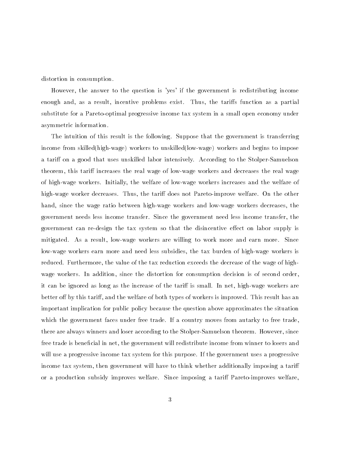distortion in consumption.

However, the answer to the question is 'yes' if the government is redistributing income enough and, as a result, incentive problems exist. Thus, the tariffs function as a partial substitute for a Pareto-optimal progressive income tax system in a small open economy under asymmetric information.

The intuition of this result is the following. Suppose that the government is transferring income from skilled(high-wage) workers to unskilled(low-wage) workers and begins to impose a tariff on a good that uses unskilled labor intensively. According to the Stolper-Samuelson theorem, this tariff increases the real wage of low-wage workers and decreases the real wage of high-wage workers. Initially, the welfare of low-wage workers increases and the welfare of high-wage worker decreases. Thus, the tariff does not Pareto-improve welfare. On the other hand, since the wage ratio between high-wage workers and low-wage workers decreases, the government needs less income transfer. Since the government need less income transfer, the government can re-design the tax system so that the disincentive effect on labor supply is mitigated. As a result, low-wage workers are willing to work more and earn more. Since low-wage workers earn more and need less subsidies, the tax burden of high-wage workers is reduced. Furthermore, the value of the tax reduction exceeds the decrease of the wage of highwage workers. In addition, since the distortion for consumption decision is of second order, it can be ignored as long as the increase of the tariff is small. In net, high-wage workers are better off by this tariff, and the welfare of both types of workers is improved. This result has an important implication for public policy because the question above approximates the situation which the government faces under free trade. If a country moves from autarky to free trade, there are always winners and loser according to the Stolper-Samuelson theorem. However, since free trade is beneficial in net, the government will redistribute income from winner to losers and will use a progressive income tax system for this purpose. If the government uses a progressive income tax system, then government will have to think whether additionally imposing a tari or a production subsidy improves welfare. Since imposing a tariff Pareto-improves welfare,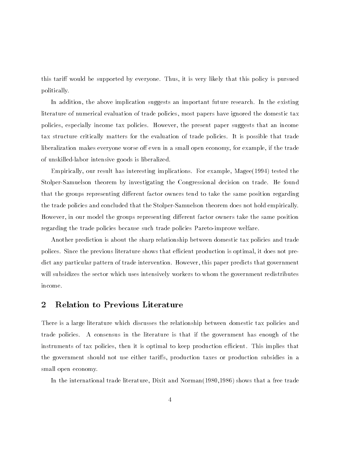this tariff would be supported by everyone. Thus, it is very likely that this policy is pursued politically.

In addition, the above implication suggests an important future research. In the existing literature of numerical evaluation of trade policies, most papers have ignored the domestic tax policies, especially income tax policies. However, the present paper suggests that an income tax structure critically matters for the evaluation of trade policies. It is possible that trade liberalization makes everyone worse off even in a small open economy, for example, if the trade of unskilled-labor intensive goods is liberalized.

Empirically, our result has interesting implications. For example, Magee(1994) tested the Stolper-Samuelson theorem by investigating the Congressional decision on trade. He found that the groups representing different factor owners tend to take the same position regarding the trade policies and concluded that the Stolper-Samuelson theorem does not hold empirically. However, in our model the groups representing different factor owners take the same position regarding the trade policies because such trade policies Pareto-improve welfare.

Another prediction is about the sharp relationship between domestic tax policies and trade polices. Since the previous literature shows that efficient production is optimal, it does not predict any particular pattern of trade intervention. However, this paper predicts that government will subsidizes the sector which uses intensively workers to whom the government redistributes income.

#### $\overline{2}$ **Relation to Previous Literature**

There is a large literature which discusses the relationship between domestic tax policies and trade policies. A consensus in the literature is that if the government has enough of the instruments of tax policies, then it is optimal to keep production efficient. This implies that the government should not use either tariffs, production taxes or production subsidies in a small open economy.

In the international trade literature, Dixit and Norman(1980,1986) shows that a free trade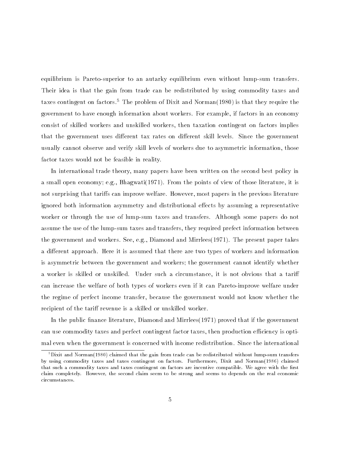equilibrium is Pareto-superior to an autarky equilibrium even without lump-sum transfers. Their idea is that the gain from trade can be redistributed by using commodity taxes and taxes contingent on factors.<sup>5</sup> The problem of Dixit and Norman(1980) is that they require the government to have enough information about workers. For example, if factors in an economy consist of skilled workers and unskilled workers, then taxation contingent on factors implies that the government uses different tax rates on different skill levels. Since the government usually cannot observe and verify skill levels of workers due to asymmetric information, those factor taxes would not be feasible in reality.

In international trade theory, many papers have been written on the second best policy in a small open economy; e.g., Bhagwati(1971). From the points of view of those literature, it is not surprising that tariffs can improve welfare. However, most papers in the previous literature ignored both information asymmetry and distributional effects by assuming a representative worker or through the use of lump-sum taxes and transfers. Although some papers do not assume the use of the lump-sum taxes and transfers, they required prefect information between the government and workers. See, e.g., Diamond and Mirrlees(1971). The present paper takes a different approach. Here it is assumed that there are two types of workers and information is asymmetric between the government and workers; the government cannot identify whether a worker is skilled or unskilled. Under such a circumstance, it is not obvious that a tari can increase the welfare of both types of workers even if it can Pareto-improve welfare under the regime of perfect income transfer, because the government would not know whether the recipient of the tariff revenue is a skilled or unskilled worker.

In the public finance literature, Diamond and Mirrlees $(1971)$  proved that if the government can use commodity taxes and perfect contingent factor taxes, then production efficiency is optimal even when the government is concerned with income redistribution. Since the international

 $5$ Dixit and Norman(1980) claimed that the gain from trade can be redistributed without lump-sum transfers by using commodity taxes and taxes contingent on factors. Furthermore, Dixit and Norman(1986) claimed that such a commodity taxes and taxes contingent on factors are incentive compatible. We agree with the first claim completely. However, the second claim seem to be strong and seems to depends on the real economic circumstances.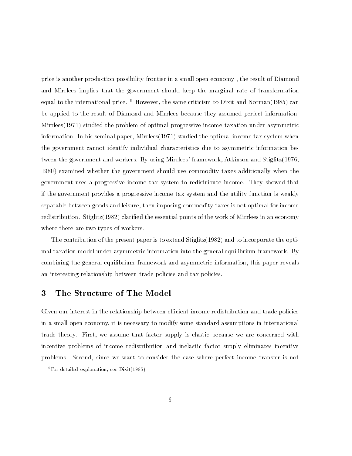price is another production possibility frontier in a small open economy , the result of Diamond and Mirrlees implies that the government should keep the marginal rate of transformation equal to the international price. <sup>6</sup> However, the same criticism to Dixit and Norman(1985) can be applied to the result of Diamond and Mirrlees because they assumed perfect information. Mirrlees(1971) studied the problem of optimal progressive income taxation under asymmetric information. In his seminal paper, Mirrlees(1971) studied the optimal income tax system when the government cannot identify individual characteristics due to asymmetric information between the government and workers. By using Mirrlees' framework, Atkinson and Stiglitz(1976, 1980) examined whether the government should use commodity taxes additionally when the government uses a progressive income tax system to redistribute income. They showed that if the government provides a progressive income tax system and the utility function is weakly separable between goods and leisure, then imposing commodity taxes is not optimal for income redistribution. Stiglitz(1982) claried the essential points of the work of Mirrlees in an economy where there are two types of workers.

The contribution of the present paper is to extend  $\operatorname{Stiglitz}(1982)$  and to incorporate the optimal taxation model under asymmetric information into the general equilibrium framework. By combining the general equilibrium framework and asymmetric information, this paper reveals an interesting relationship between trade policies and tax policies.

#### 3 The Structure of The Model

Given our interest in the relationship between efficient income redistribution and trade policies in a small open economy, it is necessary to modify some standard assumptions in international trade theory. First, we assume that factor supply is elastic because we are concerned with incentive problems of income redistribution and inelastic factor supply eliminates incentive problems. Second, since we want to consider the case where perfect income transfer is not

 ${}^6$ For detailed explanation, see Dixit(1985).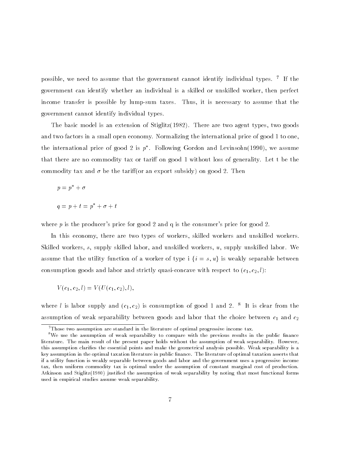possible, we need to assume that the government cannot identify individual types. <sup>7</sup> If the government can identify whether an individual is a skilled or unskilled worker, then perfect income transfer is possible by lump-sum taxes. Thus, it is necessary to assume that the government cannot identify individual types.

The basic model is an extension of  $Stiglitz(1982)$ . There are two agent types, two goods and two factors in a small open economy. Normalizing the international price of good 1 to one, the international price of good  $\angle$  is  $p$  . Following Gordon and Levinsohn(1990), we assume that there are no commodity tax or tariff on good 1 without loss of generality. Let t be the commodity tax and  $\sigma$  be the tariff (or an export subsidy) on good 2. Then

$$
p = p^* + \sigma
$$
  

$$
q = p + t = p^* + \sigma + t
$$

where  $p$  is the producer's price for good 2 and q is the consumer's price for good 2.

In this economy, there are two types of workers, skilled workers and unskilled workers. Skilled workers, s, supply skilled labor, and unskilled workers, u, supply unskilled labor. We assume that the utility function of a worker of type i  $\{i = s, u\}$  is weakly separable between consumption goods and labor and strictly quasi-concave with respect to  $(c_1, c_2, l)$ :

$$
V(c_1, c_2, l) = V(U(c_1, c_2), l),
$$

where  $i$  is labor supply and  $(c_1, c_2)$  is consumption of good 1 and 2.  $\overline{\phantom{a}}$  1) is clear from the assumption of weak separability between goods and labor that the choice between  $c_1$  and  $c_2$ 

 $7$ Those two assumption are standard in the literature of optimal progressive income tax.

<sup>&</sup>lt;sup>8</sup>We use the assumption of weak separability to compare with the previous results in the public finance literature. The main result of the present paper holds without the assumption of weak separability. However, this assumption claries the essential points and make the geometrical analysis possible. Weak separability is a key assumption in the optimal taxation literature in public finance. The literature of optimal taxation asserts that if a utility function is weakly separable between goods and labor and the government uses a progressive income tax, then uniform commodity tax is optimal under the assumption of constant marginal cost of production. Atkinson and Stiglitz(1980) justied the assumption of weak separability by noting that most functional forms used in empirical studies assume weak separability.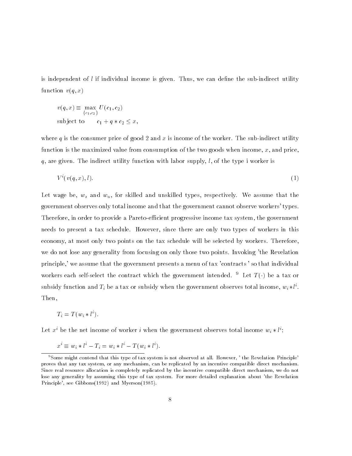is independent of  $l$  if individual income is given. Thus, we can define the sub-indirect utility function  $v(q, x)$ 

$$
v(q, x) \equiv \max_{\{c_1, c_2\}} U(c_1, c_2)
$$
  
subject to 
$$
c_1 + q * c_2 \le x,
$$

where q is the consumer price of good 2 and x is income of the worker. The sub-indirect utility function is the maximized value from consumption of the two goods when income,  $x$ , and price,  $q$ , are given. The indirect utility function with labor supply, l, of the type i worker is

$$
V^i(v(q,x),l). \tag{1}
$$

Let wage be,  $w_s$  and  $w_u$ , for skilled and unskilled types, respectively. We assume that the government observes only total income and that the government cannot observe workers' types. Therefore, in order to provide a Pareto-efficient progressive income tax system, the government needs to present a tax schedule. However, since there are only two types of workers in this economy, at most only two points on the tax schedule will be selected by workers. Therefore, we do not lose any generality from focusing on only those two points. Invoking 'the Revelation principle,' we assume that the government presents a menu of tax 'contracts ' so that individual workers each self-select the contract which the government intended. <sup>9</sup> Let  $T(\cdot)$  be a tax or subsidy function and  $T_i$  be a tax or subsidy when the government observes total income,  $w_i * \iota^*$ . Then,

$$
T_i = T(w_i * l^i).
$$

Let  $x_1$  be the net income of worker i when the government observes total income  $w_i * v$ ; line (1990).<br>Ngjarje

$$
x^{i} \equiv w_{i} * l^{i} - T_{i} = w_{i} * l^{i} - T(w_{i} * l^{i}).
$$

<sup>9</sup>Some might contend that this type of tax system is not observed at all. However, ' the Revelation Principle' proves that any tax system, or any mechanism, can be replicated by an incentive compatible direct mechanism. Since real resource allocation is completely replicated by the incentive compatible direct mechanism, we do not lose any generality by assuming this type of tax system. For more detailed explanation about 'the Revelation Principle', see Gibbons(1992) and Myerson(1985).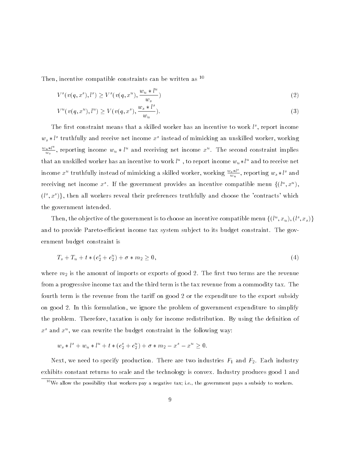Then, incentive compatible constraints can be written as  $10$ 

$$
V^{s}(v(q, x^{s}), l^{s}) \ge V^{s}(v(q, x^{u}), \frac{w_{u} * l^{u}}{w_{s}})
$$
\n(2)

$$
V^{u}(v(q, x^{u}), l^{u}) \ge V(v(q, x^{s}), \frac{w_{s} * l^{s}}{w_{u}}).
$$
\n(3)

I he first constraint means that a skilled worker has an incentive to work  $\iota^*$ , report income  $w_s * \iota^*$  truthfully and receive net income  $x^*$  instead of mimicking an unskilled worker, working  $\frac{w_u * t^m}{w_s}$ , reporting income  $w_u * l^u$  and receiving net income  $x^u$ . The second constraint implies that an unskilled worker has an incentive to work  $\iota^*$  , to report income  $w_u * \iota^*$  and to receive net income  $x^u$  truthfully instead of mimicking a skilled worker, working  $\frac{w_s * \iota^*}{w_u}$ , reporting  $w_s * l^s$  and receiving net income  $x^{\perp}$ . If the government provides an incentive compatible menu  $\{(U^{\perp}, x^{\perp}),$  $(l^s,x^s)\},$  then all workers reveal their preferences truthfully and choose the 'contracts' which the government intended.

I hen, the objective of the government is to choose an incentive compatible menu  $\{(l^-, x_u), (l^-, x_s)\}$ and to provide Pareto-efficient income tax system subject to its budget constraint. The government budget constraint is

$$
T_s + T_u + t * (c_2^s + c_2^u) + \sigma * m_2 \ge 0,
$$
\n<sup>(4)</sup>

where  $m_2$  is the amount of imports or exports of good 2. The first two terms are the revenue from a progressive income tax and the third term is the tax revenue from a commodity tax. The fourth term is the revenue from the tariff on good 2 or the expenditure to the export subsidy on good 2. In this formulation, we ignore the problem of government expenditure to simplify the problem. Therefore, taxation is only for income redistribution. By using the denition of  $x^{\perp}$  and  $x^{\perp}$ , we can rewrite the budget constraint in the following way:

 $w_s * l^+ + w_u * l^+ + t * (c_2^+ + c_2^-) + \sigma * m_2 - x^- - x^+ \geq 0.$ 

Next, we need to specify production. There are two industries  $F_1$  and  $F_2$ . Each industry exhibits constant returns to scale and the technology is convex. Industry produces good 1 and

<sup>&</sup>lt;sup>10</sup>We allow the possibility that workers pay a negative tax; i.e., the government pays a subsidy to workers.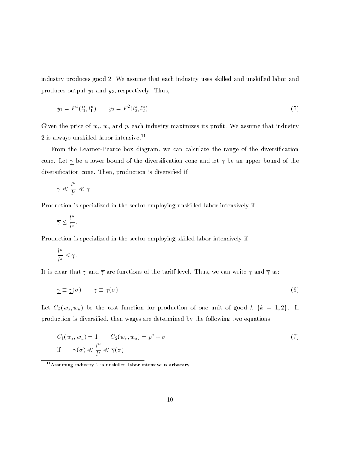industry produces good 2. We assume that each industry uses skilled and unskilled labor and produces output  $y_1$  and  $y_2$ , respectively. Thus,

$$
y_1 = F^1(l_1^s, l_1^u) \qquad y_2 = F^2(l_2^s, l_2^u). \tag{5}
$$

Given the price of  $w_s, w_u$  and p, each industry maximizes its profit. We assume that industry  $2$  is always unskilled labor intensive.  $^{\rm 11}$ 

From the Learner-Pearce box diagram, we can calculate the range of the diversification cone. Let  $\gamma$  be a lower bound of the diversification cone and let  $\overline{\gamma}$  be an upper bound of the diversication cone. Then, production is diversied if

$$
\underline{\gamma} \ll \frac{l^u}{l^s} \ll \overline{\gamma}.
$$

Production is specialized in the sector employing unskilled labor intensively if

$$
\overline{\gamma} \leq \frac{l^u}{l^s}.
$$

Production is specialized in the sector employing skilled labor intensively if

$$
\frac{l^u}{l^s}\leq \underline{\gamma}.
$$

It is clear that  $\gamma$  and  $\overline{\gamma}$  are functions of the tariff level. Thus, we can write  $\gamma$  and  $\overline{\gamma}$  as:

$$
\underline{\gamma} \equiv \underline{\gamma}(\sigma) \qquad \overline{\gamma} \equiv \overline{\gamma}(\sigma). \tag{6}
$$

 $\mathcal{L}_{\alpha}(w_{s}, w_{u})$  be the cost function for production of one unit of good  $k$   $\mu$  = 1;  $\mathcal{L}_{\alpha}(w_{s}, w_{u})$ production is diversied, then wages are determined by the following two equations:

$$
C_1(w_s, w_u) = 1 \t C_2(w_s, w_u) = p^* + \sigma
$$
  
if  $\underline{\gamma}(\sigma) \ll \frac{l^u}{l^s} \ll \overline{\gamma}(\sigma)$  (7)

11Assuming industry 2 is unskilled labor intensive is arbitrary.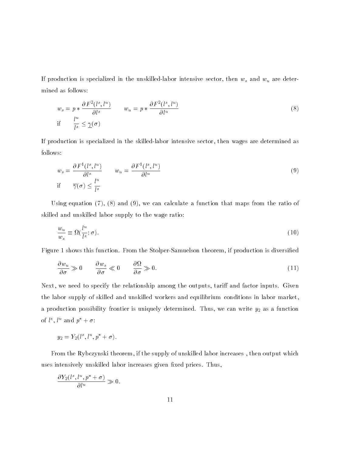If production is specialized in the unskilled-labor intensive sector, then  $w_s$  and  $w_u$  are determined as follows:

$$
w_s = p * \frac{\partial F^2(l^s, l^u)}{\partial l^s} \qquad w_u = p * \frac{\partial F^2(l^s, l^u)}{\partial l^u}
$$
  
if 
$$
\frac{l^u}{l^s} \leq \underline{\gamma}(\sigma)
$$
 (8)

If production is specialized in the skilled-labor intensive sector, then wages are determined as follows:

$$
w_s = \frac{\partial F^1(l^s, l^u)}{\partial l^s} \qquad w_u = \frac{\partial F^1(l^s, l^u)}{\partial l^u}
$$
  
if  $\overline{\gamma}(\sigma) \le \frac{l^u}{l^s}$  (9)

Using equation  $(7)$ ,  $(8)$  and  $(9)$ , we can calculate a function that maps from the ratio of skilled and unskilled labor supply to the wage ratio:

$$
\frac{w_u}{w_s} \equiv \Omega\left(\frac{l^u}{l^s}; \sigma\right). \tag{10}
$$

Figure 1 shows this function. From the Stolper-Samuelson theorem, if production is diversied

$$
\frac{\partial w_u}{\partial \sigma} \gg 0 \qquad \frac{\partial w_s}{\partial \sigma} \ll 0 \qquad \frac{\partial \Omega}{\partial \sigma} \gg 0. \tag{11}
$$

Next, we need to specify the relationship among the outputs, tariff and factor inputs. Given the labor supply of skilled and unskilled workers and equilibrium conditions in labor market, a production possibility frontier is uniquely determined. Thus, we can write  $y_2$  as a function ord is and  $p_+ + \sigma$ :

$$
y_2 = Y_2(l^s, l^u, p^* + \sigma).
$$

From the Rybczynski theorem, if the supply of unskilled labor increases , then output which uses intensively unskilled labor increases given fixed prices. Thus,

$$
\frac{\partial Y_2(l^s,l^u,p^*+\sigma)}{\partial l^u}\gg 0.
$$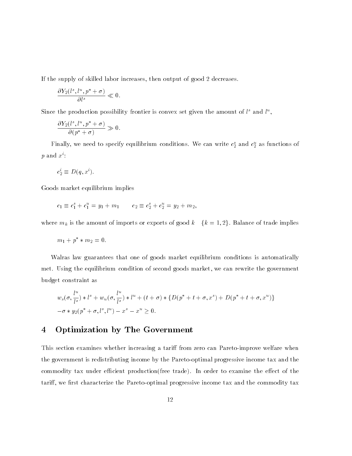If the supply of skilled labor increases, then output of good 2 decreases.

$$
\frac{\partial Y_2(l^s,l^u,p^*+\sigma)}{\partial l^s}\ll 0.
$$

Since the production possibility frontier is convex set given the amount of  $\iota^*$  and  $\iota^*,$ 

$$
\frac{\partial Y_2(l^s,l^u,p^*+\sigma)}{\partial (p^*+\sigma)}\gg0.
$$

**F** many, we need to specify equilibrium conditions. We can write  $c_2$  and  $c_2$  as functions of  $p$  and  $x^i$ :

$$
c_2^i \equiv D(q, x^i).
$$

Goods market equilibrium implies

$$
c_1 \equiv c_1^s + c_1^u = y_1 + m_1 \qquad c_2 \equiv c_2^s + c_2^u = y_2 + m_2,
$$

where  $m_k$  is the amount of imports or exports of good  $k \{k = 1, 2\}$ . Balance of trade implies

$$
m_1 + p^* * m_2 = 0.
$$

Walras law guarantees that one of goods market equilibrium conditions is automatically met. Using the equilibrium condition of second goods market, we can rewrite the government budget constraint as

$$
w_s(\sigma, \frac{l^u}{l^s}) * l^s + w_u(\sigma, \frac{l^u}{l^s}) * l^u + (t + \sigma) * \{D(p^* + t + \sigma, x^s) + D(p^* + t + \sigma, x^u)\}\
$$
  

$$
-\sigma * y_2(p^* + \sigma, l^s, l^u) - x^s - x^u \ge 0.
$$

#### 4 Optimization by The Government

This section examines whether increasing a tariff from zero can Pareto-improve welfare when the government is redistributing income by the Pareto-optimal progressive income tax and the commodity tax under efficient production(free trade). In order to examine the effect of the tariff, we first characterize the Pareto-optimal progressive income tax and the commodity tax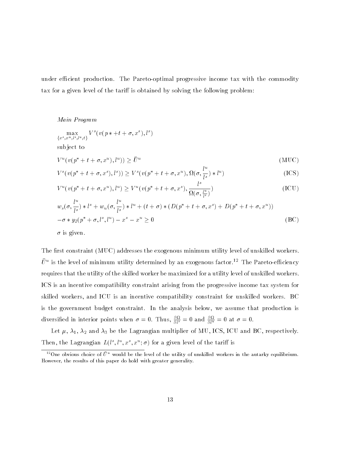under efficient production. The Pareto-optimal progressive income tax with the commodity tax for a given level of the tariff is obtained by solving the following problem:

Main Program

$$
\max_{\{x^s, x^u, l^s, l^u, t\}} V^s(v(p * + t + \sigma, x^s), l^s)
$$
\nsubject to\n
$$
V^u(v(p^* + t + \sigma, x^u), l^u)) \ge \bar{U}^u
$$
\n
$$
V^s(v(p^* + t + \sigma, x^s), l^s)) \ge V^s(v(p^* + t + \sigma, x^u), \Omega(\sigma, \frac{l^u}{l^s}) * l^u)
$$
\n(ICS)\n
$$
V^u(v(p^* + t + \sigma, x^u), l^u) \ge V^u(v(p^* + t + \sigma, x^s), \frac{l^s}{\Omega(\sigma, \frac{l^u}{l^s})})
$$
\n(ICU)

$$
w_s(\sigma, \frac{l^u}{l^s}) * l^s + w_u(\sigma, \frac{l^u}{l^s}) * l^u + (t + \sigma) * (D(p^* + t + \sigma, x^s) + D(p^* + t + \sigma, x^u))
$$
  

$$
-\sigma * y_2(p^* + \sigma, l^s, l^u) - x^s - x^u \ge 0
$$
 (BC)

 $\sigma$  is given.

The first constraint (MUC) addresses the exogenous minimum utility level of unskilled workers.  $U^{\pm}$  is the level of minimum utility determined by an exogenous factor.  $\pm$  1 ne Pareto-efficiency requires that the utility of the skilled worker be maximized for a utility level of unskilled workers. ICS is an incentive compatibility constraint arising from the progressive income tax system for skilled workers, and ICU is an incentive compatibility constraint for unskilled workers. BC is the government budget constraint. In the analysis below, we assume that production is diversing in interior points when  $\sigma = 0$ . Thus,  $\frac{\partial \bar{u}}{\partial l^s} = 0$  and  $\frac{\partial \bar{u}}{\partial l^u} = 0$  at  $\sigma = 0$ .

Let  $\mu$ ,  $\lambda_1$ ,  $\lambda_2$  and  $\lambda_3$  be the Lagrangian multiplier of MU, ICS, ICU and BC, respectively. I hen, the Lagrangian  $L(t^*, t^*, x^*, \sigma)$  for a given level of the tariff is

<sup>&</sup>lt;sup>12</sup>One obvious choice of  $\bar{U}^u$  would be the level of the utility of unskilled workers in the autarky equilibrium. However, the results of this paper do hold with greater generality.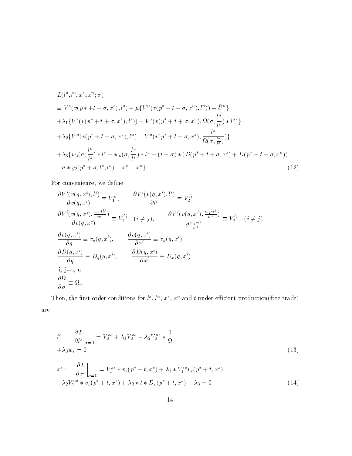$$
L(l^{s},l^{u},x^{s},x^{u};\sigma)
$$
  
\n
$$
\equiv V^{s}(v(p * + t + \sigma,x^{s}),l^{s}) + \mu\{V^{u}(v(p^{*} + t + \sigma,x^{u}),l^{u})) - \bar{U}^{u}\}\n+ \lambda_{1}\{V^{s}(v(p^{*} + t + \sigma,x^{s}),l^{s})) - V^{s}(v(p^{*} + t + \sigma,x^{u}),\Omega(\sigma,\frac{l^{u}}{l^{s}}) * l^{u})\}\n+ \lambda_{2}\{V^{u}(v(p^{*} + t + \sigma,x^{u}),l^{u}) - V^{u}(v(p^{*} + t + \sigma,x^{s}),\frac{l^{s}}{\Omega(\sigma,\frac{l^{u}}{l^{s}})})\}\n+ \lambda_{3}\{w_{s}(\sigma,\frac{l^{u}}{l^{s}}) * l^{s} + w_{u}(\sigma,\frac{l^{u}}{l^{s}}) * l^{u} + (t + \sigma) * (D(p^{*} + t + \sigma,x^{s}) + D(p^{*} + t + \sigma,x^{u}))\n- \sigma * y_{2}(p^{*} + \sigma,l^{s},l^{u}) - x^{s} - x^{u}\}\n\tag{12}
$$

For convenience, we define

$$
\frac{\partial V^i(v(q, x^i), l^i)}{\partial v(q, x^i)} \equiv V_1^{ii}, \qquad \frac{\partial V^i(v(q, x^i), l^i)}{\partial l^i} \equiv V_2^{ii}
$$
\n
$$
\frac{\partial V^i(v(q, x^j), \frac{w_j * l^j}{w^i})}{\partial v(q, x^j)} \equiv V_1^{ij} \quad (i \neq j), \qquad \frac{\partial V^i(v(q, x^j), \frac{w_j * l^j}{w^i})}{\partial \frac{w_j * l^j}{w^i}} \equiv V_2^{ij} \quad (i \neq j)
$$
\n
$$
\frac{\partial v(q, x^i)}{\partial q} \equiv v_q(q, x^i), \qquad \frac{\partial v(q, x^i)}{\partial x^i} \equiv v_x(q, x^i)
$$
\n
$$
\frac{\partial D(q, x^i)}{\partial q} \equiv D_q(q, x^i), \qquad \frac{\partial D(q, x^i)}{\partial x^i} \equiv D_x(q, x^i)
$$
\n
$$
i, j = s, u
$$
\n
$$
\frac{\partial \Omega}{\partial \sigma} \equiv \Omega_{\sigma}
$$

**Then, the first order conditions for**  $\iota^*, \iota^*, x^*, x^*$  **and**  $\iota$  **under emclent production(free trade)** are

$$
l^{s}: \frac{\partial L}{\partial l^{s}}\Big|_{\sigma=0} = V_{2}^{ss} + \lambda_{1}V_{2}^{ss} - \lambda_{2}V_{2}^{us} * \frac{1}{\Omega} + \lambda_{3}w_{s} = 0
$$
\n
$$
x^{s}: \frac{\partial L}{\partial x^{s}}\Big|_{\sigma=0} = V_{1}^{ss} * v_{x}(p^{*} + t, x^{s}) + \lambda_{1} * V_{1}^{ss}v_{x}(p^{*} + t, x^{s})
$$
\n
$$
(13)
$$

$$
-\lambda_2 V_1^{us} * v_x(p^* + t, x^*) + \lambda_3 * t * D_x(p^* + t, x^*) - \lambda_3 = 0
$$
\n(14)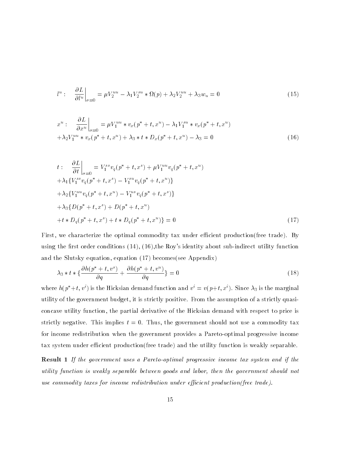$$
l^u: \quad \frac{\partial L}{\partial l^u}\Big|_{\sigma=0} = \mu V_2^{uu} - \lambda_1 V_2^{su} * \Omega(p) + \lambda_2 V_2^{uu} + \lambda_3 w_u = 0 \tag{15}
$$

$$
x^{u}: \frac{\partial L}{\partial x^{u}}\Big|_{\sigma=0} = \mu V_{1}^{uu} * v_{x}(p^{*} + t, x^{u}) - \lambda_{1}V_{1}^{su} * v_{x}(p^{*} + t, x^{u}) + \lambda_{2}V_{1}^{uu} * v_{x}(p^{*} + t, x^{u}) + \lambda_{3} * t * D_{x}(p^{*} + t, x^{u}) - \lambda_{3} = 0
$$
\n(16)

$$
t: \frac{\partial L}{\partial t}\Big|_{\sigma=0} = V_1^{ss}v_q(p^* + t, x^s) + \mu V_1^{uu}v_q(p^* + t, x^u)
$$
  
+  $\lambda_1 \{V_1^{ss}v_q(p^* + t, x^s) - V_1^{su}v_q(p^* + t, x^u)\}$   
+  $\lambda_2 \{V_1^{uu}v_q(p^* + t, x^u) - V_1^{us}v_q(p^* + t, x^s)\}$   
+  $\lambda_3 \{D(p^* + t, x^s) + D(p^* + t, x^u)$   
+  $t * D_q(p^* + t, x^s) + t * D_q(p^* + t, x^u)\}$  = 0 (17)

First, we characterize the optimal commodity tax under efficient production(free trade). By using the first order conditions  $(14)$ ,  $(16)$ , the Roy's identity about sub-indirect utility function and the Slutsky equation, equation (17) becomes(see Appendix)

$$
\lambda_3 * t * \left\{ \frac{\partial h(p^* + t, v^s)}{\partial q} + \frac{\partial h(p^* + t, v^u)}{\partial q} \right\} = 0
$$
\n(18)  
\nwhere  $h(p^* + t, v^i)$  is the Hicksian demand function and  $v^i = v(p + t, x^i)$ . Since  $\lambda_3$  is the marginal

utility of the government budget, it is strictly positive. From the assumption of a strictly quasiconcave utility function, the partial derivative of the Hicksian demand with respect to price is strictly negative. This implies  $t = 0$ . Thus, the government should not use a commodity tax for income redistribution when the government provides a Pareto-optimal progressive income tax system under efficient production(free trade) and the utility function is weakly separable.

Result 1 If the government uses a Pareto-optimal progressive income tax system and if the utility function is weakly separable between goods and labor, then the government should notuse commodity taxes for income redistribution under efficient production(free trade).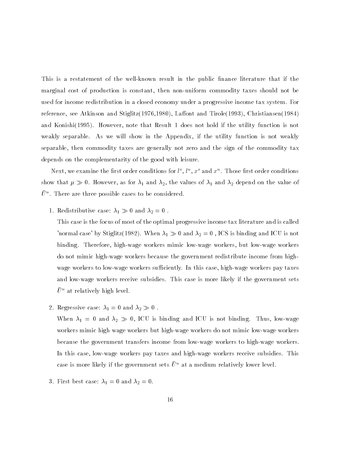This is a restatement of the well-known result in the public finance literature that if the marginal cost of production is constant, then non-uniform commodity taxes should not be used for income redistribution in a closed economy under a progressive income tax system. For reference, see Atkinson and Stiglitz(1976,1980), Laffont and Tirole(1993), Christiansen(1984) and Konishi(1995). However, note that Result 1 does not hold if the utility function is not weakly separable. As we will show in the Appendix, if the utility function is not weakly separable, then commodity taxes are generally not zero and the sign of the commodity tax depends on the complementarity of the good with leisure.

Next, we examine the first order conditions for  $\iota^*, \iota^*, x^*$  and  $x^*$  . I hose first order conditions show that  $\mu$ ,  $\mu$  as for the values of 1 and 2, the value of 1 and 2 depend on the value of  $U$  . There are three possible cases to be considered.

1. Redistributive case:  $\mathbf{1}_{1}$   $\mu$  or and  $\mathbf{1}_{2}$  =0.1

This case is the focus of most of the optimal progressive income tax literature and is called 'normal case' by Stiglitz(1982). When  $\lambda_1 \gg 0$  and  $\lambda_2 = 0$  , ICS is binding and ICU is not binding. Therefore, high-wage workers mimic low-wage workers, but low-wage workers do not mimic high-wage workers because the government redistribute income from highwage workers to low-wage workers sufficiently. In this case, high-wage workers pay taxes and low-wage workers receive subsidies. This case is more likely if the government sets  $\bar{U}^u$  at relatively high level.

 $2.$  Regressive case:  $1 \cdot 1$  = 0 and  $1 \cdot 2 \cdot 0$  .

 $W = \frac{1}{2}$  or  $\frac{1}{2}$  is  $\frac{1}{2}$  ,  $\frac{1}{2}$  ,  $\frac{1}{2}$  ,  $\frac{1}{2}$  ,  $\frac{1}{2}$  ,  $\frac{1}{2}$  ,  $\frac{1}{2}$  ,  $\frac{1}{2}$  ,  $\frac{1}{2}$  ,  $\frac{1}{2}$  ,  $\frac{1}{2}$  ,  $\frac{1}{2}$  ,  $\frac{1}{2}$  ,  $\frac{1}{2}$  ,  $\frac{1}{2}$  ,  $\frac{1}{2}$  , workers mimic high wage workers but high-wage workers do not mimic low-wage workers because the government transfers income from low-wage workers to high-wage workers. In this case, low-wage workers pay taxes and high-wage workers receive subsidies. This case is more likely if the government sets  $\bar{U}^u$  at a medium relatively lower level.

3. First best case:  $\lambda_1 = 0$  and  $\lambda_2 = 0$ .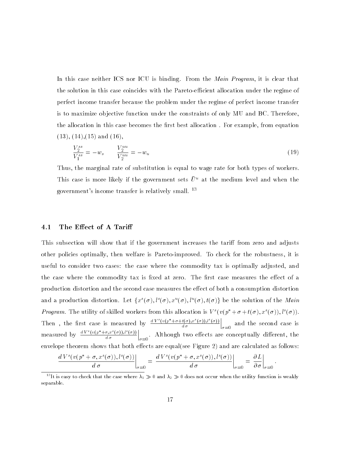In this case neither ICS nor ICU is binding. From the *Main Program*, it is clear that the solution in this case coincides with the Pareto-efficient allocation under the regime of perfect income transfer because the problem under the regime of perfect income transfer is to maximize ob jective function under the constraints of only MU and BC. Therefore, the allocation in this case becomes the first best allocation. For example, from equation  $(13)$ ,  $(14)$ ,  $(15)$  and  $(16)$ ,

$$
\frac{V_2^{ss}}{V_1^{ss}} = -w_s \qquad \frac{V_2^{uu}}{V_2^{uu}} = -w_u \tag{19}
$$

Thus, the marginal rate of substitution is equal to wage rate for both types of workers. This case is more likely if the government sets  $\bar{U}^u$  at the medium level and when the government's income transfer is relatively small. <sup>13</sup>

#### 4.1 The Effect of A Tariff

This subsection will show that if the government increases the tariff from zero and adjusts other policies optimally, then welfare is Pareto-improved. To check for the robustness, it is useful to consider two cases: the case where the commodity tax is optimally adjusted, and the case where the commodity tax is fixed at zero. The first case measures the effect of a production distortion and the second case measures the effect of both a consumption distortion and a production distortion. Let  $\{x^-(\sigma), \iota^-(\sigma), x^-(\sigma), \iota^-(\sigma), \iota(\sigma)\}$  be the solution of the *Main Program.* The utility of skilled workers from this allocation is  $V^s(v(p^* + \sigma + t(\sigma), x^s(\sigma)), l^s(\sigma))$ . Then, the first case is measured by  $\frac{dV^-(v(p + \sigma + t(\sigma), x^-(\sigma)), \ell^-(\sigma))}{d}$  $\sim$   $\sim$  $\Big|_{\sigma=0}$  and the second case is measured by  $\frac{d V^-(v(p+\sigma,x^-(\sigma)),l^-(\sigma))}{d}$  $\sim$   $\sim$ and the state of the state of the state of  $\vert_{\sigma=0}$ . Although two effects are conceptually different, the envelope theorem shows that both effects are equal(see Figure 2) and are calculated as follows:

$$
\left. \frac{d V^s(v(p^* + \sigma, x^s(\sigma)), l^s(\sigma))}{d \sigma} \right|_{\sigma=0} = \left. \frac{d V^s(v(p^* + \sigma, x^s(\sigma)), l^s(\sigma))}{d \sigma} \right|_{\sigma=0} = \left. \frac{\partial L}{\partial \sigma} \right|_{\sigma=0}.
$$

 $13$ It is easy to check that the case where  $\lambda_1 \gg 0$  and  $\lambda_2 \gg 0$  does not occur when the utility function is weakly separable.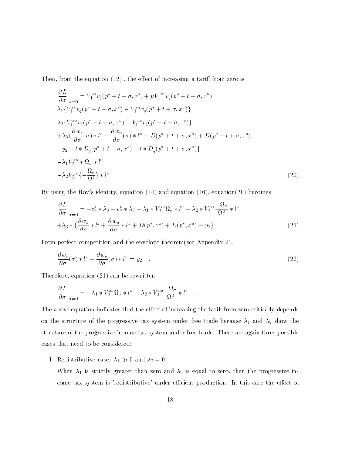Then, from the equation  $(12)$ , the effect of increasing a tariff from zero is

$$
\frac{\partial L}{\partial \sigma}\Big|_{\sigma=0} = V_1^{ss} v_q(p^* + t + \sigma, x^s) + \mu V_1^{uu} v_q(p^* + t + \sigma, x^u)
$$
  
\n
$$
\lambda_1 \{V_1^{ss} v_q(p^* + t + \sigma, x^s) - V_1^{su} v_q(p^* + t + \sigma, x^u)\}
$$
  
\n
$$
\lambda_2 \{V_1^{uu} v_q(p^* + t + \sigma, x^u) - V_1^{us} v_q(p^* + t + \sigma, x^s)\}
$$
  
\n
$$
+ \lambda_3 \{\frac{\partial w_s}{\partial \sigma}(\sigma) * l^s + \frac{\partial w_u}{\partial \sigma}(\sigma) * l^u + D(p^* + t + \sigma, x^u) + D(p^* + t + \sigma, x^s)
$$
  
\n
$$
-y_2 + t * D_q(p^* + t + \sigma, x^s) + t * D_q(p^* + t + \sigma, x^u)\}
$$
  
\n
$$
- \lambda_1 V_2^{su} * \Omega_{\sigma} * l^u
$$
  
\n
$$
- \lambda_2 V_2^{us} \{-\frac{\Omega_{\sigma}}{\Omega^2}\} * l^s
$$
  
\nBy using the Roy's identity, equation (14) and equation (16), equation(20) becomes

$$
\frac{\partial L}{\partial \sigma}\Big|_{\sigma=0} = -c_2^s * \lambda_3 - c_2^u * \lambda_3 - \lambda_1 * V_2^{su} \Omega_{\sigma} * l^u - \lambda_2 * V_2^{us} \frac{-\Omega_{\sigma}}{\Omega^2} * l^s
$$
  
+  $\lambda_3 * \left\{\frac{\partial w_s}{\partial \sigma} * l^s + \frac{\partial w_u}{\partial \sigma} * l^u + D(p^*, x^s) + D(p^*, x^u) - y_2\right\}$ . (21)  
From perfect competition and the envelope theorem(see Appendix 2),

$$
\frac{\partial w_s}{\partial \sigma}(\sigma) * l^s + \frac{\partial w_u}{\partial \sigma}(\sigma) * l^u = y_2 \quad . \tag{22}
$$

Therefore, equation (21) can be rewritten

$$
\left. \frac{\partial L}{\partial \sigma} \right|_{\sigma=0} = -\lambda_1 * V_2^{su} \Omega_{\sigma} * l^u - \lambda_2 * V_2^{us} \frac{-\Omega_{\sigma}}{\Omega^2} * l^s \quad .
$$

The above equation indicates that the effect of increasing the tariff from zero critically depends on the structure of the progressive tax system under free trade because  $\lambda_1$  and  $\lambda_2$  show the structure of the progressive income tax system under free trade. There are again three possible cases that need to be considered:

1. Redistributive case:  $\mathbf{1}_{1}$   $\mu$  or and  $\mathbf{1}_{2}$  = 0

When  $\lambda_1$  is strictly greater than zero and  $\lambda_2$  is equal to zero, then the progressive income tax system is 'redistributive' under efficient production. In this case the effect of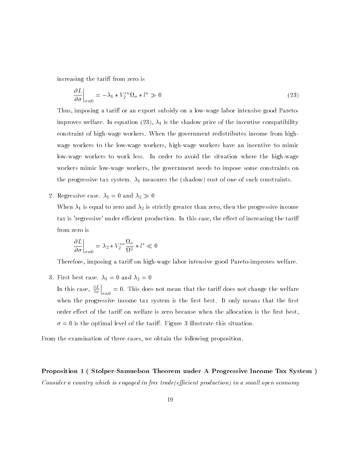increasing the tariff from zero is

$$
\left. \frac{\partial L}{\partial \sigma} \right|_{\sigma=0} = -\lambda_1 \ast V_2^{su} \Omega_{\sigma} \ast l^u \gg 0 \tag{23}
$$

Thus, imposing a tariff or an export subsidy on a low-wage labor intensive good Paretoimproves welfare. In equation (23),  $\lambda_1$  is the shadow price of the incentive compatibility constraint of high-wage workers. When the government redistributes income from highwage workers to the low-wage workers, high-wage workers have an incentive to mimic low-wage workers to work less. In order to avoid the situation where the high-wage workers mimic low-wage workers, the government needs to impose some constraints on the progressive tax system.  $\lambda_1$  measures the (shadow) cost of one of such constraints.

 $2.$  Regressive case.  $1 - 0$  and  $2 \times 0$ 

When  $\lambda_1$  is equal to zero and  $\lambda_2$  is strictly greater than zero, then the progressive income tax is 'regressive' under efficient production. In this case, the effect of increasing the tariff from zero is

$$
\left. \frac{\partial L}{\partial \sigma} \right|_{\sigma=0} = \lambda_2 * V_2^{us} \frac{\Omega_{\sigma}}{\Omega^2} * l^s \ll 0
$$

Therefore, imposing a tariff on high-wage labor intensive good Pareto-improves welfare.

3. First best case.  $\lambda_1 = 0$  and  $\lambda_2 = 0$ 

In this case,  $\frac{1}{\partial \sigma}\Big|_{\sigma=0}$  $\Big|_{\sigma=0} = 0$ . This does not mean that the tariff does not change the welfare when the progressive income tax system is the first best. It only means that the first order effect of the tariff on welfare is zero because when the allocation is the first best,  $\sigma = 0$  is the optimal level of the tariff. Figure 3 illustrate this situation.

From the examination of three cases, we obtain the following proposition.

Proposition 1 ( Stolper-Samuelson Theorem under A Progressive Income Tax System ) Consider a country which is engaged in free trade(efficient production) in a small open economy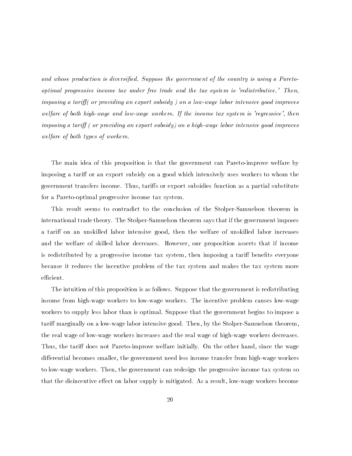and whose production is diversified. Suppose the government of the country is using a Paretooptimal progressive income tax under free trade and the tax system is 'redistributive.' Then,imposing a tariff (or providing an export subsidy) on a low-wage labor intensive good improves welfare of both high-wage and low-wage workers. If the income tax system is 'regressive', thenimposing a tariff  $\int$  or providing an export subsidy) on a high-wage labor intensive good improves welfare of both types of workers.

The main idea of this proposition is that the government can Pareto-improve welfare by imposing a tariff or an export subsidy on a good which intensively uses workers to whom the government transfers income. Thus, tariffs or export subsidies function as a partial substitute for a Pareto-optimal progressive income tax system.

This result seems to contradict to the conclusion of the Stolper-Samuelson theorem in international trade theory. The Stolper-Samuelson theorem says that if the government imposes a tariff on an unskilled labor intensive good, then the welfare of unskilled labor increases and the welfare of skilled labor decreases. However, our proposition asserts that if income is redistributed by a progressive income tax system, then imposing a tariff benefits everyone because it reduces the incentive problem of the tax system and makes the tax system more efficient.

The intuition of this proposition is as follows. Suppose that the government is redistributing income from high-wage workers to low-wage workers. The incentive problem causes low-wage workers to supply less labor than is optimal. Suppose that the government begins to impose a tariff marginally on a low-wage labor intensive good. Then, by the Stolper-Samuelson theorem, the real wage of low-wage workers increases and the real wage of high-wage workers decreases. Thus, the tariff does not Pareto-improve welfare initially. On the other hand, since the wage differential becomes smaller, the government need less income transfer from high-wage workers to low-wage workers. Then, the government can redesign the progressive income tax system so that the disincentive effect on labor supply is mitigated. As a result, low-wage workers become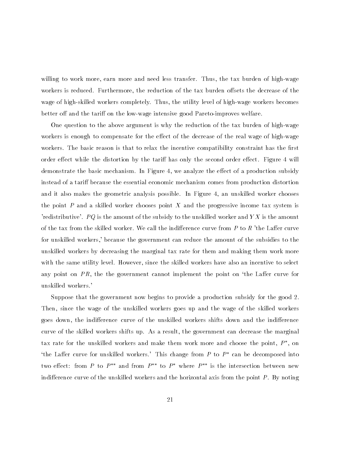willing to work more, earn more and need less transfer. Thus, the tax burden of high-wage workers is reduced. Furthermore, the reduction of the tax burden offsets the decrease of the wage of high-skilled workers completely. Thus, the utility level of high-wage workers becomes better off and the tariff on the low-wage intensive good Pareto-improves welfare.

One question to the above argument is why the reduction of the tax burden of high-wage workers is enough to compensate for the effect of the decrease of the real wage of high-wage workers. The basic reason is that to relax the incentive compatibility constraint has the first order effect while the distortion by the tariff has only the second order effect. Figure 4 will demonstrate the basic mechanism. In Figure 4, we analyze the effect of a production subsidy instead of a tariff because the essential economic mechanism comes from production distortion and it also makes the geometric analysis possible. In Figure 4, an unskilled worker chooses the point  $P$  and a skilled worker chooses point  $X$  and the progressive income tax system is 'redistributive'. PQ is the amount of the subsidy to the unskilled worker and  $YX$  is the amount of the tax from the skilled worker. We call the indifference curve from  $P$  to  $R$  'the Laffer curve for unskilled workers,' because the government can reduce the amount of the subsidies to the unskilled workers by decreasing the marginal tax rate for them and making them work more with the same utility level. However, since the skilled workers have also an incentive to select any point on  $PR$ , the the government cannot implement the point on 'the Laffer curve for unskilled workers.'

Suppose that the government now begins to provide a production subsidy for the good 2. Then, since the wage of the unskilled workers goes up and the wage of the skilled workers goes down, the indifference curve of the unskilled workers shifts down and the indifference curve of the skilled workers shifts up. As a result, the government can decrease the marginal tax rate for the unskilled workers and make them work more and choose the point,  $P$  , on 'the Laffer curve for unskilled workers.' This change from  $P$  to  $P^*$  can be decomposed into two effect: from P to  $P^{**}$  and from  $P^{**}$  to  $P^*$  where  $P^{**}$  is the intersection between new indifference curve of the unskilled workers and the horizontal axis from the point  $P$ . By noting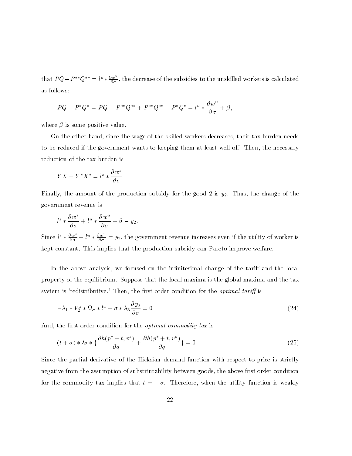that  $PQ - P^{**}Q^{**} = l^u * \frac{\partial w^-}{\partial \sigma}$ , the decrease of the subsidies to the unskilled workers is calculated as follows:

$$
PQ - P^*Q^* = PQ - P^{**}Q^{**} + P^{**}Q^{**} - P^*Q^* = l^u * \frac{\partial w^u}{\partial \sigma} + \beta,
$$

where  $\beta$  is some positive value.

On the other hand, since the wage of the skilled workers decreases, their tax burden needs to be reduced if the government wants to keeping them at least well off. Then, the necessary reduction of the tax burden is

$$
YX - Y^*X^* = l^s * \frac{\partial w^s}{\partial \sigma}
$$

Finally, the amount of the production subsidy for the good 2 is  $y_2$ . Thus, the change of the government revenue is

$$
l^s * \frac{\partial w^s}{\partial \sigma} + l^u * \frac{\partial w^u}{\partial \sigma} + \beta - y_2.
$$

Since  $l^s * \frac{\partial w^s}{\partial \sigma} + l^u * \frac{\partial w^s}{\partial \sigma} = y_2$ , the government revenue increases even if the utility of worker is kept constant. This implies that the production subsidy can Pareto-improve welfare.

In the above analysis, we focused on the infinitesimal change of the tariff and the local property of the equilibrium. Suppose that the local maxima is the global maxima and the tax system is 'redistributive.' Then, the first order condition for the *optimal tariff* is

$$
-\lambda_1 * V_2^s * \Omega_\sigma * l^u - \sigma * \lambda_3 \frac{\partial y_2}{\partial \sigma} = 0
$$
\n(24)

And, the first order condition for the *optimal commodity tax* is

$$
(t + \sigma) * \lambda_3 * \{\frac{\partial h(p^* + t, v^s)}{\partial q} + \frac{\partial h(p^* + t, v^u)}{\partial q}\} = 0
$$
\n(25)

\nSince the partial derivative of the Hicksian demand function with respect to price is strictly

negative from the assumption of substitutability between goods, the above first order condition for the commodity tax implies that  $t = -\sigma$ . Therefore, when the utility function is weakly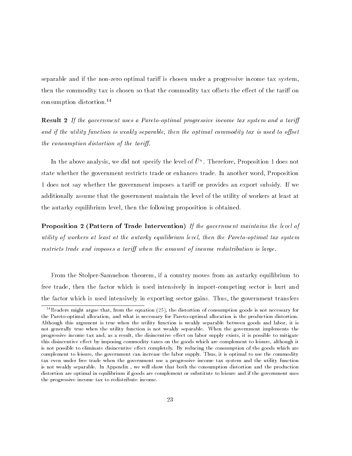separable and if the non-zero optimal tariff is chosen under a progressive income tax system, then the commodity tax is chosen so that the commodity tax offsets the effect of the tariff on consumption distortion.14

**Result 2** If the government uses a Pareto-optimal progressive income tax system and a tariff and if the utility function is weakly separable, then the optimal commodity tax is used to offset the consumption distortion of the tariff.

In the above analysis, we did not specify the level of  $U^*$ . Inerefore, Proposition 1 does not state whether the government restricts trade or enhances trade. In another word, Proposition 1 does not say whether the government imposes a tariff or provides an export subsidy. If we additionally assume that the government maintain the level of the utility of workers at least at the autarky equilibrium level, then the following proposition is obtained.

**Proposition 2 (Pattern of Trade Intervention)** If the government maintains the level of utility of workers at least at the autarky equilibrium level, then the Pareto-optimal tax systemrestricts trade and imposes a tariff when the amount of income redistribution is large.

From the Stolper-Samuelson theorem, if a country moves from an autarky equilibrium to free trade, then the factor which is used intensively in import-competing sector is hurt and the factor which is used intensively in exporting sector gains. Thus, the government transfers

<sup>&</sup>lt;sup>14</sup>Readers might argue that, from the equation (25), the distortion of consumption goods is not necessary for the Pareto-optimal allocation, and what is necessary for Pareto-optimal allocation is the production distortion. Although this argument is true when the utility function is weakly separable between goods and labor, it is not generally true when the utility function is not weakly separable. When the government implements the progressive income tax and, as a result, the disincentive effect on labor supply exists, it is possible to mitigate this disincentive effect by imposing commodity taxes on the goods which are complement to leisure, although it is not possible to eliminate disincentive effect completely. By reducing the consumption of the goods which are complement to leisure, the government can increase the labor supply. Thus, it is optimal to use the commodity tax even under free trade when the government use a progressive income tax system and the utility function is not weakly separable. In Appendix , we will show that both the consumption distortion and the production distortion are optimal in equilibrium if goods are complement or substitute to leisure and if the government uses the progressive income tax to redistribute income.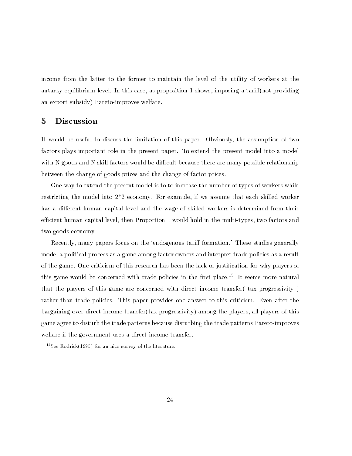income from the latter to the former to maintain the level of the utility of workers at the autarky equilibrium level. In this case, as proposition 1 shows, imposing a tariff (not providing an export subsidy) Pareto-improves welfare.

#### 5 Discussion

It would be useful to discuss the limitation of this paper. Obviously, the assumption of two factors plays important role in the present paper. To extend the present model into a model with N goods and N skill factors would be difficult because there are many possible relationship between the change of goods prices and the change of factor prices.

One way to extend the present model is to to increase the number of types of workers while restricting the model into 2\*2 economy. For example, if we assume that each skilled worker has a different human capital level and the wage of skilled workers is determined from their efficient human capital level, then Proportion 1 would hold in the multi-types, two factors and two goods economy.

Recently, many papers focus on the 'endogenous tariff formation.' These studies generally model a political process as a game among factor owners and interpret trade policies as a result of the game. One criticism of this research has been the lack of justication for why players of this game would be concerned with trade policies in the first place.<sup>15</sup> It seems more natural that the players of this game are concerned with direct income transfer( tax progressivity ) rather than trade policies. This paper provides one answer to this criticism. Even after the bargaining over direct income transfer(tax progressivity) among the players, all players of this game agree to disturb the trade patterns because disturbing the trade patterns Pareto-improves welfare if the government uses a direct income transfer.

<sup>15</sup>See Rodrick(1995) for an nice survey of the literature.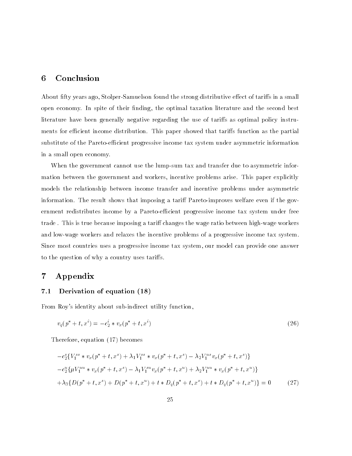#### 6 Conclusion

About fifty years ago, Stolper-Samuelson found the strong distributive effect of tariffs in a small open economy. In spite of their finding, the optimal taxation literature and the second best literature have been generally negative regarding the use of tariffs as optimal policy instruments for efficient income distribution. This paper showed that tariffs function as the partial substitute of the Pareto-efficient progressive income tax system under asymmetric information in a small open economy.

When the government cannot use the lump-sum tax and transfer due to asymmetric information between the government and workers, incentive problems arise. This paper explicitly models the relationship between income transfer and incentive problems under asymmetric information. The result shows that imposing a tariff Pareto-improves welfare even if the government redistributes income by a Pareto-efficient progressive income tax system under free trade. This is true because imposing a tariff changes the wage ratio between high-wage workers and low-wage workers and relaxes the incentive problems of a progressive income tax system. Since most countries uses a progressive income tax system, our model can provide one answer to the question of why a country uses taris.

### 7 Appendix

#### 7.1 Derivation of equation (18)

From Roy's identity about sub-indirect utility function,

$$
v_q(p^* + t, x^i) = -c_2^i * v_x(p^* + t, x^i)
$$
\n(26)

Therefore, equation (17) becomes

$$
-c_2^s \{V_1^{ss} * v_x(p^* + t, x^s) + \lambda_1 V_1^{ss} * v_x(p^* + t, x^s) - \lambda_2 V_1^{us} v_x(p^* + t, x^s)\}
$$
  

$$
-c_2^u \{\mu V_1^{uu} * v_x(p^* + t, x^s) - \lambda_1 V_1^{su} v_x(p^* + t, x^u) + \lambda_2 V_1^{uu} * v_x(p^* + t, x^u)\}
$$
  

$$
+ \lambda_3 \{D(p^* + t, x^s) + D(p^* + t, x^u) + t * D_q(p^* + t, x^s) + t * D_q(p^* + t, x^u)\} = 0
$$
 (27)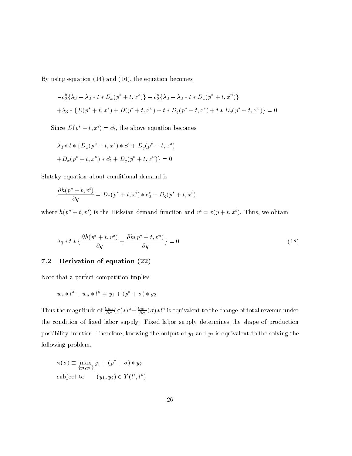By using equation (14) and (16), the equation becomes

$$
-c_2^h \{\lambda_3 - \lambda_3 * t * D_x(p^* + t, x^*)\} - c_2^u \{\lambda_3 - \lambda_3 * t * D_x(p^* + t, x^u)\}\
$$
  
+ 
$$
\lambda_3 * \{D(p^* + t, x^*) + D(p^* + t, x^u) + t * D_q(p^* + t, x^*) + t * D_q(p^* + t, x^u)\} = 0
$$

Since  $D(p^* + t, x^i) = c_2^i$ , the above equation becomes

$$
\lambda_3 * t * \{D_x(p^* + t, x^*) * c_2^* + D_q(p^* + t, x^*)
$$
  
+
$$
D_x(p^* + t, x^u) * c_2^u + D_q(p^* + t, x^u) \} = 0
$$

Slutsky equation about conditional demand is

$$
\frac{\partial h(p^*+t, v^i)}{\partial q} = D_x(p^*+t, x^i) * c_2^s + D_q(p^*+t, x^i)
$$

where  $h(p^* + t, v^i)$  is the Hicksian demand function and  $v^i = v(p + t, x^i)$ . Thus, we obtain

$$
\lambda_3 * t * \left\{ \frac{\partial h(p^* + t, v^*)}{\partial q} + \frac{\partial h(p^* + t, v^u)}{\partial q} \right\} = 0
$$
\n
$$
\text{7.2 Derivation of equation (22)}
$$
\n
$$
\text{(18)}
$$

Note that a perfect competition implies

$$
w_s * l^s + w_u * l^u = y_1 + (p^* + \sigma) * y_2
$$

Thus the magnitude of  $\frac{2\pi}{\partial \sigma}(\sigma)*t^* + \frac{2\pi}{\partial \sigma}(\sigma)*t^*$  is equivalent to the change of total revenue under the condition of fixed labor supply. Fixed labor supply determines the shape of production possibility frontier. Therefore, knowing the output of  $y_1$  and  $y_2$  is equivalent to the solving the following problem.

$$
\pi(\sigma) \equiv \max_{\{y_1, y_2\}} y_1 + (p^* + \sigma) * y_2
$$
  
subject to 
$$
(y_1, y_2) \in \overline{Y}(l^s, l^u)
$$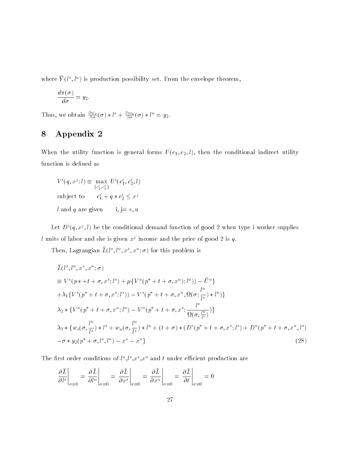where  $Y(t^*, t^*)$  is production possibility set. From the envelope theorem,  $\blacksquare$ 

$$
\frac{d\pi(\sigma)}{d\sigma}=y_2.
$$

Thus, we obtain  $\frac{2\pi}{\partial \sigma}(\sigma) * l^{\circ} + \frac{2\pi}{\partial \sigma}(\sigma) * l^{\circ} = y_2$ .

## 8 Appendix 2

When the utility function is general forms  $U(c_1, c_2, l)$ , then the conditional indirect utility function is defined as

 $V^{\scriptscriptstyle\top} (q,x^j;t) \equiv \max_{\{c_1^i, c_2^i\}} U^{\scriptscriptstyle\top}$  $U^{\dagger}(c_1^{\dagger}, c_2^{\dagger}, l)$ subject to  $c_1 + q * c_2 \leq x^3$ l and q are given i, j = s, u

Let  $D^{\cdot}(q,x^j,t)$  be the conditional demand function of good 2 when type I worker supplies  $\iota$  units of labor and she is given  $x^j$  income and the price of good 2 is  $q$ .

I nen, Lagrangian  $L(t^*, t^*, x^*, \sigma)$  for this problem is

$$
\bar{L}(l^{s},l^{u},x^{s},x^{u};\sigma)
$$
\n
$$
\equiv V^{s}(p * + t + \sigma,x^{s};l^{s}) + \mu\{V^{u}(p^{*} + t + \sigma,x^{u});l^{u})\} - \bar{U}^{u}\}\n+ \lambda_{1}\{V^{s}(p^{*} + t + \sigma,x^{s};l^{s})\} - V^{s}(p^{*} + t + \sigma,x^{u},\Omega(\sigma;\frac{l^{u}}{l^{s}}) * l^{u})\}\n+ \lambda_{2} \ast \{V^{u}(p^{*} + t + \sigma,x^{u};l^{u}) - V^{u}(p^{*} + t + \sigma,x^{s};\frac{l^{s}}{\Omega(\sigma,\frac{l^{u}}{l^{s}})})\}\n+ \lambda_{3} \ast \{w_{s}(\sigma,\frac{l^{u}}{l^{s}}) * l^{s} + w_{u}(\sigma,\frac{l^{u}}{l^{s}}) * l^{u} + (t + \sigma) * (D^{s}(p^{*} + t + \sigma,x^{s};l^{s}) + D^{u}(p^{*} + t + \sigma,x^{u},l^{s})\n- \sigma * y_{2}(p^{*} + \sigma,l^{s},l^{u}) - x^{s} - x^{u}\}\n\tag{28}
$$

The first order conditions of  $\iota^*, \iota^*, x^*$  and  $\iota$  under emclent production are

$$
\left. \frac{\partial \bar{L}}{\partial l^{s}} \right|_{\sigma=0} = \left. \frac{\partial \bar{L}}{\partial l^{u}} \right|_{\sigma=0} = \left. \frac{\partial \bar{L}}{\partial x^{s}} \right|_{\sigma=0} = \left. \frac{\partial \bar{L}}{\partial x^{u}} \right|_{\sigma=0} = \left. \frac{\partial \bar{L}}{\partial t} \right|_{\sigma=0} = 0
$$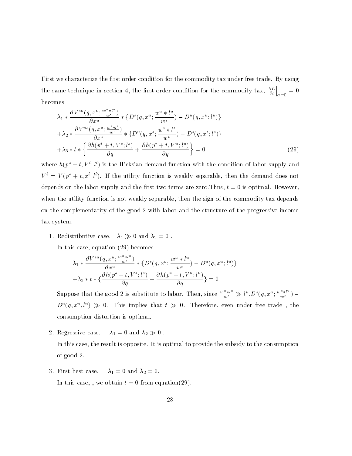First we characterize the first order condition for the commodity tax under free trade. By using the same technique in section 4, the first order condition for the commodity tax,  $\frac{\partial L}{\partial t}\Big|_{\tau=0}$  $\Big|_{\sigma=0} = 0$ becomes

$$
\lambda_{1} * \frac{\partial V^{su}(q, x^{u}; \frac{w^{u}*l^{u}}{w^{s}})}{\partial x^{u}} * \{D^{s}(q, x^{u}; \frac{w^{u}*l^{u}}{w^{s}}) - D^{u}(q, x^{u}; l^{u})\}\n+ \lambda_{2} * \frac{\partial V^{us}(q, x^{s}; \frac{w^{s}*l^{s}}{w^{u}})}{\partial x^{s}} * \{D^{u}(q, x^{s}; \frac{w^{s}*l^{s}}{w^{u}}) - D^{s}(q, x^{s}; l^{s})\}\n+ \lambda_{3} * t * \left\{\frac{\partial h(p^{*} + t, V^{s}; l^{s})}{\partial q} + \frac{\partial h(p^{*} + t, V^{u}; l^{u})}{\partial q}\right\} = 0
$$
\n(29)

where  $h(p + t, V'; t')$  is the Hicksian demand function with the condition of labor supply and  $V = V(p + t, x; U)$ . If the utility function is weakly separable, then the demand does not depends on the labor supply and the first two terms are zero. Thus,  $t = 0$  is optimal. However, when the utility function is not weakly separable, then the sign of the commodity tax depends on the complementarity of the good 2 with labor and the structure of the progressive income tax system.

1. Redistributive case.  $\mathbb{F}_1$   $\mathcal{D}_0$  and  $\mathbb{F}_2$  =0.1

In this case, equation (29) becomes

$$
\lambda_1 * \frac{\partial V^{su}(q, x^u; \frac{w^u * l^u}{w^s})}{\partial x^u} * \{D^s(q, x^u; \frac{w^u * l^u}{w^s}) - D^u(q, x^u; l^u)\}\n+ \lambda_3 * t * \{\frac{\partial h(p^* + t, V^s; l^s)}{\partial q} + \frac{\partial h(p^* + t, V^u; l^u)}{\partial q}\} = 0
$$

 $+\lambda_3 * t * \left\{\frac{on(p + t, v^*; t^*)}{\partial q} + \frac{on(p + t, v^*; t^*)}{\partial q}\right\} = 0$ <br>Suppose that the good 2 is substitute to labor. Then, since  $\frac{w^u * l^u}{w^s} \gg l^u, D^s(q, x^u; \frac{w^u * l^u}{w^s})$  $D^{\infty}(q,x^{\infty},t^{\infty}) \gg 0$ . This implies that  $t \gg 0$ . Therefore, even under free trade , the consumption distortion is optimal.

- 2. Regressive case.  $\lambda_1 = 0$  and  $\lambda_2 \gg 0$ . In this case, the result is opposite. It is optimal to provide the subsidy to the consumption of good 2.
- 3. First best case.  $\lambda_1 = 0$  and  $\lambda_2 = 0$ . In this case, , we obtain  $t = 0$  from equation(29).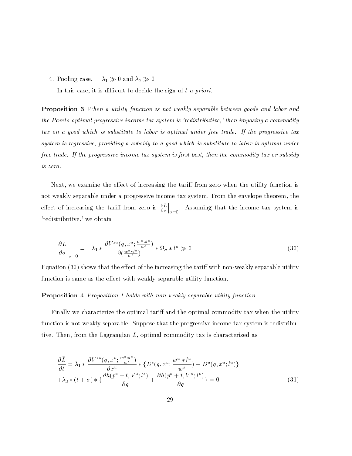4. Pooling case.  $\lambda_1 \gg 0$  and  $\lambda_2 \gg 0$ 

In this case, it is difficult to decide the sign of  $t$  a priori.

**Proposition 3** When a utility function is not weakly separable between goods and labor and the Pareto-optimal progressive income tax system is 'redistributive,' then imposing a commoditytax on a good which is substitute to labor is optimal under free trade. If the progressive taxsystem is regressive, providing a subsidy to a good which is substitute to labor is optimal underfree trade. If the progressive income tax system is first best, then the commodity tax or subsidy is zero.

Next, we examine the effect of increasing the tariff from zero when the utility function is not weakly separable under a progressive income tax system. From the envelope theorem, the effect of increasing the tariff from zero is  $\frac{\partial D}{\partial \sigma}\Big|_{\sigma=0}$  $\Big|_{\sigma=0}$ . Assuming that the income tax system is 'redistributive,' we obtain

$$
\frac{\partial \bar{L}}{\partial \sigma}\bigg|_{\sigma=0} = -\lambda_1 * \frac{\partial V^{su}(q, x^u; \frac{w^u * l^u}{w^s})}{\partial (\frac{w^u * l^u}{w^s})} * \Omega_{\sigma} * l^u \gg 0 \tag{30}
$$

Equation  $(30)$  shows that the effect of the increasing the tariff with non-weakly separable utility function is same as the effect with weakly separable utility function.

#### Proposition 4 Proposition 1 holds with non-weakly separable utility function

Finally we characterize the optimal tariff and the optimal commodity tax when the utility function is not weakly separable. Suppose that the progressive income tax system is redistribu- $\alpha$ , then, from the Lagrangian  $L$ , optimal commodity tax is characterized as

$$
\frac{\partial \bar{L}}{\partial t} = \lambda_1 * \frac{\partial V^{su}(q, x^u; \frac{w^u * l^u}{w^s})}{\partial x^u} * \{D^s(q, x^u; \frac{w^u * l^u}{w^s}) - D^u(q, x^u; l^u)\} + \lambda_3 * (t + \sigma) * \{\frac{\partial h(p^* + t, V^s; l^s)}{\partial q} + \frac{\partial h(p^* + t, V^u; l^u)}{\partial q}\} = 0
$$
\n(31)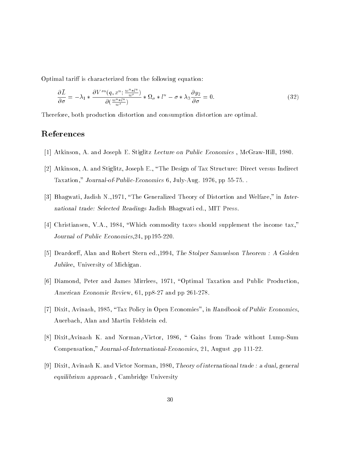Optimal tariff is characterized from the following equation:

$$
\frac{\partial \bar{L}}{\partial \sigma} = -\lambda_1 * \frac{\partial V^{su}(q, x^u; \frac{w^u * l^u}{w^s})}{\partial (\frac{w^u * l^u}{w^s})} * \Omega_{\sigma} * l^u - \sigma * \lambda_3 \frac{\partial y_2}{\partial \sigma} = 0.
$$
\n(32)

Therefore, both production distortion and consumption distortion are optimal.

#### References

- [1] Atkinson, A. and Joseph E. Stiglitz Lecture on Public Economics , McGraw-Hill, 1980.
- [2] Atkinson, A. and Stiglitz, Joseph E., \The Design of Tax Structure: Direct versus Indirect Taxation," Journal-of-Public-Economics 6, July-Aug. 1976, pp 55-75. .
- [3] Bhagwati, Jadish N., 1971, "The Generalized Theory of Distortion and Welfare," in International trade: Selected Readings Jadish Bhagwati ed., MIT Press.
- [4] Christiansen, V.A., 1984, "Which commodity taxes should supplement the income tax," Journal of Public Economics,24, pp195-220.
- [5] Deardorff, Alan and Robert Stern ed., 1994, The Stolper Samuelson Theorem : A Golden Jubilee, University of Michigan.
- [6] Diamond, Peter and James Mirrlees, 1971, "Optimal Taxation and Public Production, American Economic Review, 61, pp8-27 and pp 261-278.
- [7] Dixit, Avinash, 1985, "Tax Policy in Open Economies", in Handbook of Public Economics, Auerbach, Alan and Martin Feldstein ed.
- [8] Dixit,Avinash K. and Norman,-Victor, 1986, \ Gains from Trade without Lump-Sum Compensation," Journal-of-International-Economics, 21, August ,pp 111-22.
- [9] Dixit, Avinash K. and Victor Norman, 1980, Theory of international trade : a dual, general equilibrium approach , Cambridge University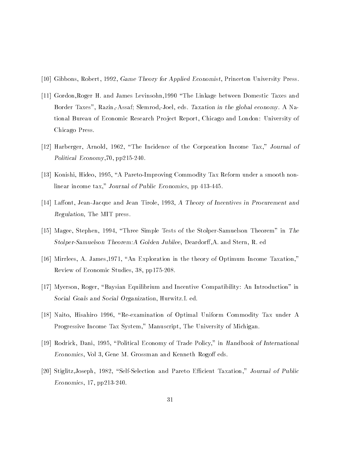- [10] Gibbons, Robert, 1992, Game Theory for Applied Economist, Princeton University Press.
- [11] Gordon,Roger H. and James Levinsohn,1990 \The Linkage between Domestic Taxes and Border Taxes", Razin,-Assaf; Slemrod,-Joel, eds. Taxation in the global economy. A National Bureau of Economic Research Pro ject Report, Chicago and London: University of Chicago Press.
- [12] Harberger, Arnold, 1962, "The Incidence of the Corporation Income Tax," Journal of Political Economy,70, pp215-240.
- [13] Konishi, Hideo, 1995, \A Pareto-Improving Commodity Tax Reform under a smooth nonlinear income tax," Journal of Public Economics, pp 413-445.
- [14] Laffont, Jean-Jacque and Jean Tirole, 1993, A Theory of Incentives in Procurement and Regulation, The MIT press.
- [15] Magee, Stephen, 1994, \Three Simple Tests of the Stolper-Samuelson Theorem" in The Stolper-Samuelson Theorem:A Golden Jubilee, Deardorff,A. and Stern, R. ed
- [16] Mirrlees, A. James,1971, \An Exploration in the theory of Optimum Income Taxation," Review of Economic Studies, 38, pp175-208.
- [17] Myerson, Roger, \Baysian Equilibrium and Incentive Compatibility: An Introduction" in Social Goals and Social Organization, Hurwitz.L ed.
- [18] Naito, Hisahiro 1996, "Re-examination of Optimal Uniform Commodity Tax under A Progressive Income Tax System," Manuscript, The University of Michigan.
- [19] Rodrick, Dani, 1995, "Political Economy of Trade Policy," in Handbook of International Economics, Vol 3, Gene M. Grossman and Kenneth Rogoff eds.
- [20] Stiglitz,Joseph, 1982, "Self-Selection and Pareto Efficient Taxation," Journal of Public Economics, 17, pp213-240.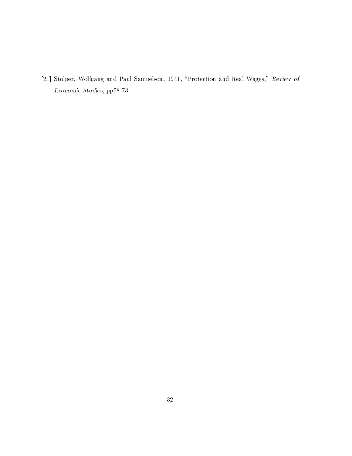[21] Stolper, Wolfgang and Paul Samuelson, 1941, "Protection and Real Wages," Review of Economic Studies, pp58-73.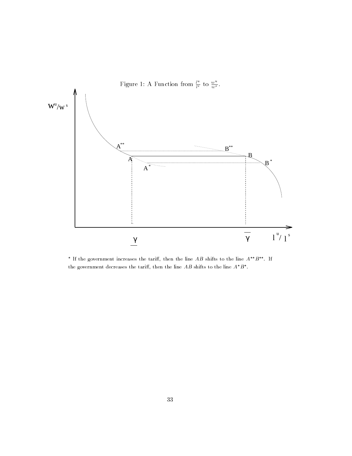

\* If the government increases the tariff, then the line  $AB$  shifts to the line  $A^{**}B^{**}$ . If the government decreases the tariff, then the line AB shifts to the line  $A^*B^*$ .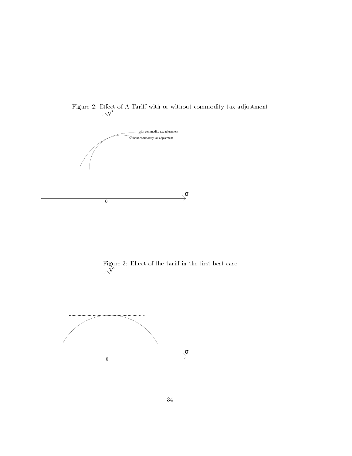

 $\wedge^{\mathbf{V}^s}$